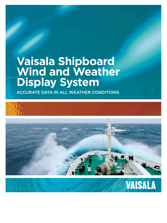## **Vaisala Shipboard Wind and Weather Display System**

ACCURATE DATA IN ALL WEATHER CONDITIONS



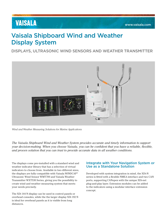## **VAISALA**

## Vaisala Shipboard Wind and Weather Display System

DISPLAYS, ULTRASONIC WIND SENSORS AND WEATHER TRANSMITTER



*Wind and Weather Measuring Solutions for Marine Applications*

*The Vaisala Shipboard Wind and Weather System provides accurate and timely information to support your decision-making. When you choose Vaisala, you can be confident that you have a reliable, flexible, and proven solution that you can trust to provide accurate data in all weather conditions.*

The displays come pre-installed with a standard wind and weather indicator library that has a selection of virtual indicators to choose from. Available in two different sizes, the displays are fully compatible with Vaisala WINDCAP® Ultrasonic Wind Sensor WMT700 and Vaisala Weather Transmitter WXT530 Series, giving you the possibility to create wind and weather measuring system that meets your needs precisely.

The XDi 144 N display can be used in control panels or overhead consoles, while the the larger display XDi 192 N is ideal for overhead panels as it is visible from long distances.

#### Integrate with Your Navigation System or Use as a Standalone Solution

Developed with system integration in mind, the XDi-N series is fitted with a flexible NMEA interface and two CAN ports, supporting CANopen with the unique XDi-net plug-and-play layer. Extension modules can be added to the indicators using a modular interface extension concept.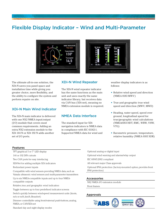### Flexible Display Indicator – Wind and Multi-Parameter





The ultimate all-in-one solution, the XDi-N saves you panel space and installation time while giving you greater choice, more flexibility, and the ability to configure the system and perform repairs on site.

#### XDi-N Main Wind Indicator

The XDi-N main indicator is delivered with one NX2 NMEA input/output (I/O) module that covers most common requirements. Adding an extra NX2 extension module to the XDi 144 N or XDi 192 N adds another set of I/O ports.

#### XDi-N Wind Repeater

The XDi-N wind repeater indicator has the same functions as the main unit and uses exactly the same indicator library, but receives data via CAN bus (XDi-net), meaning no NMEA extension module is required.

#### NMEA Data Interface

The standard input for XDi navigation indicators is NMEA data in compliance with IEC 61162-1. Supported NMEA data for wind and

weather display indicators is as follows:

- Relative wind speed and direction (NMEA 0183 MWV)
- True and geographic true wind speed and direction (MWV, MWD)
- Heading, water speed, speed over ground, longitudinal speed for true/geographic wind calculations (NMEA0183 HDT, RMC, WBW, VHW, VTG)
- Barometric pressure, temperature, relative humidity (NMEA 0183 XDR)

#### **Features**

TFT graphical 5 or 7" LED display

144 or 192 DIN cutouts

Two CAN ports for easy interfacing

XDI-Net for adding multiple XDi indicators

Redundant power inputs

Compatible with wind sensors providing NMEA data, such as Vaisala ultrasonic wind sensors and multi-parameter transmitters

Up to six NMEA-compatible inputs and up to four NMEAcompatible outputs

Relative, true, and geographic wind indication

Toggle between up to four predefined indicator screens

Switch quickly between wind-speed measurement units (knots, m/s or m/h, km/h, Beaufort)

Dimmer controllable using front/external push-buttons, analog, NMEA, or CAN/XDi-net

Standard day and night display modes

Optional analog or digital input Optional wind warning and alarms/relay output IEC 60945:2002 compliant All relevant major Class approvals Optional IP66 protection (factory-mounted option, provides front IP66 protection)

#### **Accessories**

NX2 NMEA I/O extension module

Front frames

#### **Approvals**

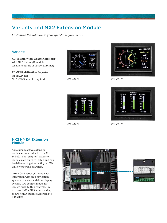## Variants and NX2 Extension Module

*Customize the solution to your specific requirements*

#### Variants

**XDi-N Main Wind/Weather Indicator** With NX2 NMEA I/O module (enables sharing of data via XDi-net).

**XDi-N Wind/Weather Repeater** Input: XDi-net No NX2 I/O module required.



*XDi 144 N*



*XDi 192 N*



*XDi 144 N*



*XDi 192 N*

#### NX2 NMEA Extension **Module**

A maximum of two extension modules can be added to the XDi 144/192. The "snap-on" extension modules are quick to install and can be delivered together with your XDi unit or ordered separately.

NMEA 0183 serial I/O module for integration with ship navigation systems or as a standalone display system. Two contact inputs for remote push-button controls. Up to three NMEA 0183 inputs and up to two NMEA outputs according to IEC 61162-1.



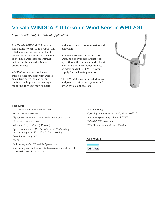## Vaisala WINDCAP® Ultrasonic Wind Sensor WMT700

*Superior reliability for critical applications*

The Vaisala WINDCAP® Ultrasonic Wind Sensor WMT700 is a robust and reliable ultrasonic anemometer. It measures surface wind, which is one of the key parameters for weathercritical decision making in marine environments.

WMT700 series sensors have a durable steel structure with welded arms, true north indication, and distinct single-point bayonet-style mounting. It has no moving parts

and is resistant to contamination and corrosion.

A model with a heated transducer, arms, and body is also available for operation in the harshest and coldest environments. This model requires an additional 24 … 36 VDC power supply for the heating function.

The WMT700 is recommended for use in dynamic positioning systems and other critical applications.



#### **Features**

Ideal for dynamic positioning systems Stainless-steel construction High-power ultrasonic transducers in a triangular layout No moving parts; no wear Wind speed up to 90 m/s (175 knots) Speed accuracy  $0 \ldots 75$  m/s:  $\pm 0.1$ m/s or  $2\%$  of reading, whichever is greater. 75 … 90 m/s: 5 % of reading Direction accuracy ±2° NMEA protocol Fully waterproof – IP66 and IP67 protection

Automatic power and gain control – automatic signal strength increase in case of rain or snow

Built-in heating Operating temperature optionally down to -55 °C Advanced system integration with XDi-N IEC 60945:2002 compliant DNV GL type examination certification

#### **Approvals**

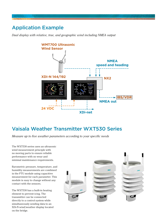## Application Example

*Dual display with relative, true, and geographic wind including NMEA output*



### Vaisala Weather Transmitter WXT530 Series

*Measure up to five weather parameters according to your specific needs*

The WXT530 series uses an ultrasonic wind measurement principle with no moving parts to ensure reliable performance with no wear and minimal maintenance requirements.

Barometric pressure, temperature, and humidity measurements are combined in the PTU module using capacitive measurement for each parameter. This module is easy to change without any contact with the sensors.

The WXT530 has a built-in heating element to prevent icing. The transmitter can be connected directly to a control system while simultaneously sending data to an XDi-N wind/weather display located on the bridge.

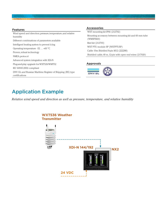

#### **Features**

Wind speed and direction; pressure, temperature, and relative humidity Different combinations of parameters available Intelligent heating system to prevent icing Operating temperature -52 … +60 °C Proven, robust technology NMEA protocol Advanced system integration with XDi-N Plug-and-play upgrade for WXT520/WMT52 IEC 60945:2002 compliant DNV GL and Russian Maritime Register of Shipping (RS) type certifications

#### **Accessories**

WXT mounting kit IP66 (212792) Mounting accessory between mounting kit and 60 mm tube (WMSFIX60) Bird kit (212793) WXT PTU module SP (WXTPTUSP) Cable 10m Shielded 8-pin M12 (222288) Shielded cable, 40 m, 12-pin with open end wires (217020)

#### **Approvals**



## Application Example

*Relative wind speed and direction as well as pressure, temperature, and relative humidity*